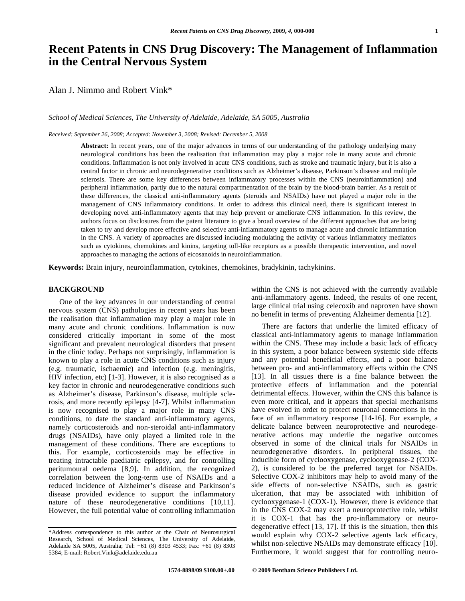# **Recent Patents in CNS Drug Discovery: The Management of Inflammation in the Central Nervous System**

Alan J. Nimmo and Robert Vink\*

*School of Medical Sciences, The University of Adelaide, Adelaide, SA 5005, Australia* 

*Received: September 26, 2008; Accepted: November 3, 2008; Revised: December 5, 2008*

**Abstract:** In recent years, one of the major advances in terms of our understanding of the pathology underlying many neurological conditions has been the realisation that inflammation may play a major role in many acute and chronic conditions. Inflammation is not only involved in acute CNS conditions, such as stroke and traumatic injury, but it is also a central factor in chronic and neurodegenerative conditions such as Alzheimer's disease, Parkinson's disease and multiple sclerosis. There are some key differences between inflammatory processes within the CNS (neuroinflammation) and peripheral inflammation, partly due to the natural compartmentation of the brain by the blood-brain barrier. As a result of these differences, the classical anti-inflammatory agents (steroids and NSAIDs) have not played a major role in the management of CNS inflammatory conditions. In order to address this clinical need, there is significant interest in developing novel anti-inflammatory agents that may help prevent or ameliorate CNS inflammation. In this review, the authors focus on disclosures from the patent literature to give a broad overview of the different approaches that are being taken to try and develop more effective and selective anti-inflammatory agents to manage acute and chronic inflammation in the CNS. A variety of approaches are discussed including modulating the activity of various inflammatory mediators such as cytokines, chemokines and kinins, targeting toll-like receptors as a possible therapeutic intervention, and novel approaches to managing the actions of eicosanoids in neuroinflammation.

**Keywords:** Brain injury, neuroinflammation, cytokines, chemokines, bradykinin, tachykinins.

# **BACKGROUND**

 One of the key advances in our understanding of central nervous system (CNS) pathologies in recent years has been the realisation that inflammation may play a major role in many acute and chronic conditions. Inflammation is now considered critically important in some of the most significant and prevalent neurological disorders that present in the clinic today. Perhaps not surprisingly, inflammation is known to play a role in acute CNS conditions such as injury (e.g. traumatic, ischaemic) and infection (e.g. meningitis, HIV infection, etc) [1-3]. However, it is also recognised as a key factor in chronic and neurodegenerative conditions such as Alzheimer's disease, Parkinson's disease, multiple sclerosis, and more recently epilepsy [4-7]. Whilst inflammation is now recognised to play a major role in many CNS conditions, to date the standard anti-inflammatory agents, namely corticosteroids and non-steroidal anti-inflammatory drugs (NSAIDs), have only played a limited role in the management of these conditions. There are exceptions to this. For example, corticosteroids may be effective in treating intractable paediatric epilepsy, and for controlling peritumoural oedema [8,9]. In addition, the recognized correlation between the long-term use of NSAIDs and a reduced incidence of Alzheimer's disease and Parkinson's disease provided evidence to support the inflammatory nature of these neurodegenerative conditions [10,11]. However, the full potential value of controlling inflammation within the CNS is not achieved with the currently available anti-inflammatory agents. Indeed, the results of one recent, large clinical trial using celecoxib and naproxen have shown no benefit in terms of preventing Alzheimer dementia [12].

 There are factors that underlie the limited efficacy of classical anti-inflammatory agents to manage inflammation within the CNS. These may include a basic lack of efficacy in this system, a poor balance between systemic side effects and any potential beneficial effects, and a poor balance between pro- and anti-inflammatory effects within the CNS [13]. In all tissues there is a fine balance between the protective effects of inflammation and the potential detrimental effects. However, within the CNS this balance is even more critical, and it appears that special mechanisms have evolved in order to protect neuronal connections in the face of an inflammatory response [14-16]. For example, a delicate balance between neuroprotective and neurodegenerative actions may underlie the negative outcomes observed in some of the clinical trials for NSAIDs in neurodegenerative disorders. In peripheral tissues, the inducible form of cyclooxygenase, cyclooxygenase-2 (COX-2), is considered to be the preferred target for NSAIDs. Selective COX-2 inhibitors may help to avoid many of the side effects of non-selective NSAIDs, such as gastric ulceration, that may be associated with inhibition of cyclooxygenase-1 (COX-1). However, there is evidence that in the CNS COX-2 may exert a neuroprotective role, whilst it is COX-1 that has the pro-inflammatory or neurodegenerative effect [13, 17]. If this is the situation, then this would explain why COX-2 selective agents lack efficacy, whilst non-selective NSAIDs may demonstrate efficacy [10]. Furthermore, it would suggest that for controlling neuro-

<sup>\*</sup>Address correspondence to this author at the Chair of Neurosurgical Research, School of Medical Sciences, The University of Adelaide, Adelaide SA 5005, Australia; Tel: +61 (8) 8303 4533; Fax: +61 (8) 8303 5384; E-mail: Robert.Vink@adelaide.edu.au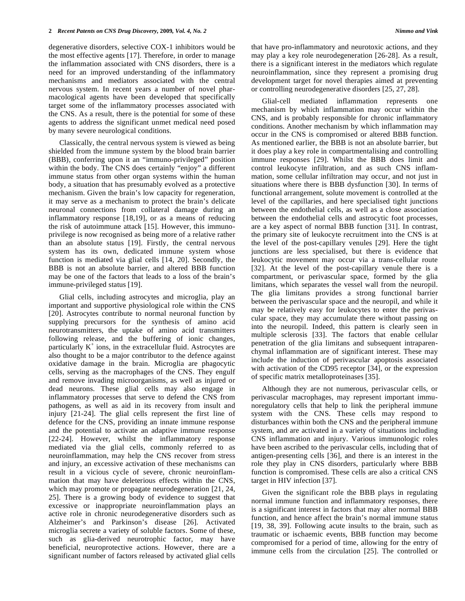degenerative disorders, selective COX-1 inhibitors would be the most effective agents [17]. Therefore, in order to manage the inflammation associated with CNS disorders, there is a need for an improved understanding of the inflammatory mechanisms and mediators associated with the central nervous system. In recent years a number of novel pharmacological agents have been developed that specifically target some of the inflammatory processes associated with the CNS. As a result, there is the potential for some of these agents to address the significant unmet medical need posed by many severe neurological conditions.

 Classically, the central nervous system is viewed as being shielded from the immune system by the blood brain barrier (BBB), conferring upon it an "immuno-privileged" position within the body. The CNS does certainly "enjoy" a different immune status from other organ systems within the human body, a situation that has presumably evolved as a protective mechanism. Given the brain's low capacity for regeneration, it may serve as a mechanism to protect the brain's delicate neuronal connections from collateral damage during an inflammatory response [18,19], or as a means of reducing the risk of autoimmune attack [15]. However, this immunoprivilege is now recognised as being more of a relative rather than an absolute status [19]. Firstly, the central nervous system has its own, dedicated immune system whose function is mediated via glial cells [14, 20]. Secondly, the BBB is not an absolute barrier, and altered BBB function may be one of the factors that leads to a loss of the brain's immune-privileged status [19].

 Glial cells, including astrocytes and microglia, play an important and supportive physiological role within the CNS [20]. Astrocytes contribute to normal neuronal function by supplying precursors for the synthesis of amino acid neurotransmitters, the uptake of amino acid transmitters following release, and the buffering of ionic changes, particularly  $K^+$  ions, in the extracellular fluid. Astrocytes are also thought to be a major contributor to the defence against oxidative damage in the brain. Microglia are phagocytic cells, serving as the macrophages of the CNS. They engulf and remove invading microorganisms, as well as injured or dead neurons. These glial cells may also engage in inflammatory processes that serve to defend the CNS from pathogens, as well as aid in its recovery from insult and injury [21-24]. The glial cells represent the first line of defence for the CNS, providing an innate immune response and the potential to activate an adaptive immune response [22-24]. However, whilst the inflammatory response mediated via the glial cells, commonly referred to as neuroinflammation, may help the CNS recover from stress and injury, an excessive activation of these mechanisms can result in a vicious cycle of severe, chronic neuroinflammation that may have deleterious effects within the CNS, which may promote or propagate neurodegeneration [21, 24, 25]. There is a growing body of evidence to suggest that excessive or inappropriate neuroinflammation plays an active role in chronic neurodegenerative disorders such as Alzheimer's and Parkinson's disease [26]. Activated microglia secrete a variety of soluble factors. Some of these, such as glia-derived neurotrophic factor, may have beneficial, neuroprotective actions. However, there are a significant number of factors released by activated glial cells

that have pro-inflammatory and neurotoxic actions, and they may play a key role neurodegeneration [26-28]. As a result, there is a significant interest in the mediators which regulate neuroinflammation, since they represent a promising drug development target for novel therapies aimed at preventing or controlling neurodegenerative disorders [25, 27, 28].

 Glial-cell mediated inflammation represents one mechanism by which inflammation may occur within the CNS, and is probably responsible for chronic inflammatory conditions. Another mechanism by which inflammation may occur in the CNS is compromised or altered BBB function. As mentioned earlier, the BBB is not an absolute barrier, but it does play a key role in compartmentalising and controlling immune responses [29]. Whilst the BBB does limit and control leukocyte infiltration, and as such CNS inflammation, some cellular infiltration may occur, and not just in situations where there is BBB dysfunction [30]. In terms of functional arrangement, solute movement is controlled at the level of the capillaries, and here specialised tight junctions between the endothelial cells, as well as a close association between the endothelial cells and astrocytic foot processes, are a key aspect of normal BBB function [31]. In contrast, the primary site of leukocyte recruitment into the CNS is at the level of the post-capillary venules [29]. Here the tight junctions are less specialised, but there is evidence that leukocytic movement may occur via a trans-cellular route [32]. At the level of the post-capillary venule there is a compartment, or perivascular space, formed by the glia limitans, which separates the vessel wall from the neuropil. The glia limitans provides a strong functional barrier between the perivascular space and the neuropil, and while it may be relatively easy for leukocytes to enter the perivascular space, they may accumulate there without passing on into the neuropil. Indeed, this pattern is clearly seen in multiple sclerosis [33]. The factors that enable cellular penetration of the glia limitans and subsequent intraparenchymal inflammation are of significant interest. These may include the induction of perivascular apoptosis associated with activation of the CD95 receptor [34], or the expression of specific matrix metalloproteinases [35].

 Although they are not numerous, perivascular cells, or perivascular macrophages, may represent important immunoregulatory cells that help to link the peripheral immune system with the CNS. These cells may respond to disturbances within both the CNS and the peripheral immune system, and are activated in a variety of situations including CNS inflammation and injury. Various immunologic roles have been ascribed to the perivascular cells, including that of antigen-presenting cells [36], and there is an interest in the role they play in CNS disorders, particularly where BBB function is compromised. These cells are also a critical CNS target in HIV infection [37].

 Given the significant role the BBB plays in regulating normal immune function and inflammatory responses, there is a significant interest in factors that may alter normal BBB function, and hence affect the brain's normal immune status [19, 38, 39]. Following acute insults to the brain, such as traumatic or ischaemic events, BBB function may become compromised for a period of time, allowing for the entry of immune cells from the circulation [25]. The controlled or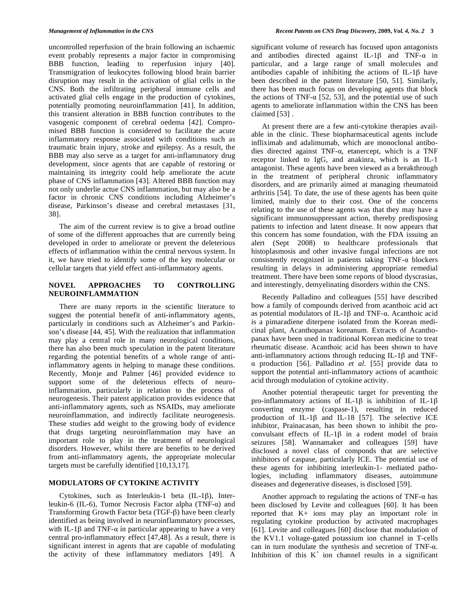uncontrolled reperfusion of the brain following an ischaemic event probably represents a major factor in compromising BBB function, leading to reperfusion injury [40]. Transmigration of leukocytes following blood brain barrier disruption may result in the activation of glial cells in the CNS. Both the infiltrating peripheral immune cells and activated glial cells engage in the production of cytokines, potentially promoting neuroinflammation [41]. In addition, this transient alteration in BBB function contributes to the vasogenic component of cerebral oedema [42]. Compromised BBB function is considered to facilitate the acute inflammatory response associated with conditions such as traumatic brain injury, stroke and epilepsy. As a result, the BBB may also serve as a target for anti-inflammatory drug development, since agents that are capable of restoring or maintaining its integrity could help ameliorate the acute phase of CNS inflammation [43]. Altered BBB function may not only underlie actue CNS inflammation, but may also be a factor in chronic CNS conditions including Alzheimer's disease, Parkinson's disease and cerebral metastases [31, 38].

 The aim of the current review is to give a broad outline of some of the different approaches that are currently being developed in order to ameliorate or prevent the deleterious effects of inflammation within the central nervous system. In it, we have tried to identify some of the key molecular or cellular targets that yield effect anti-inflammatory agents.

# **NOVEL APPROACHES TO CONTROLLING NEUROINFLAMMATION**

 There are many reports in the scientific literature to suggest the potential benefit of anti-inflammatory agents, particularly in conditions such as Alzheimer's and Parkinson's disease [44, 45]. With the realization that inflammation may play a central role in many neurological conditions, there has also been much speculation in the patent literature regarding the potential benefits of a whole range of antiinflammatory agents in helping to manage these conditions. Recently, Monje and Palmer [46] provided evidence to support some of the deleterious effects of neuroinflammation, particularly in relation to the process of neurogenesis. Their patent application provides evidence that anti-inflammatory agents, such as NSAIDs, may ameliorate neuroinflammation, and indirectly facilitate neurogenesis. These studies add weight to the growing body of evidence that drugs targeting neuroinflammation may have an important role to play in the treatment of neurological disorders. However, whilst there are benefits to be derived from anti-inflammatory agents, the appropriate molecular targets must be carefully identified [10,13,17].

#### **MODULATORS OF CYTOKINE ACTIVITY**

Cytokines, such as Interleukin-1 beta  $(IL-1\beta)$ , Interleukin-6 (IL-6), Tumor Necrosis Factor alpha (TNF- $\alpha$ ) and Transforming Growth Factor beta  $(TGF- $\beta$ )$  have been clearly identified as being involved in neuroinflammatory processes, with IL-1 $\beta$  and TNF- $\alpha$  in particular appearing to have a very central pro-inflammatory effect [47,48]. As a result, there is significant interest in agents that are capable of modulating the activity of these inflammatory mediators [49]. A

significant volume of research has focused upon antagonists and antibodies directed against IL-1 $\beta$  and TNF- $\alpha$  in particular, and a large range of small molecules and antibodies capable of inhibiting the actions of IL-1 $\beta$  have been described in the patent literature [50, 51]. Similarly, there has been much focus on developing agents that block the actions of TNF- $\alpha$  [52, 53], and the potential use of such agents to ameliorate inflammation within the CNS has been claimed [53] .

 At present there are a few anti-cytokine therapies available in the clinic. These biopharmaceutical agents include infliximab and adalimumab, which are monoclonal antibodies directed against TNF- $\alpha$ , etanercept, which is a TNF receptor linked to IgG, and anakinra, which is an IL-1 antagonist. These agents have been viewed as a breakthrough in the treatment of peripheral chronic inflammatory disorders, and are primarily aimed at managing rheumatoid arthritis [54]. To date, the use of these agents has been quite limited, mainly due to their cost. One of the concerns relating to the use of these agents was that they may have a significant immunosuppressant action, thereby predisposing patients to infection and latent disease. It now appears that this concern has some foundation, with the FDA issuing an alert (Sept 2008) to healthcare professionals that histoplasmosis and other invasive fungal infections are not consistently recognized in patients taking  $TNF-\alpha$  blockers resulting in delays in administering appropriate remedial treatment. There have been some reports of blood dyscrasias, and interestingly, demyelinating disorders within the CNS.

 Recently Palladino and colleagues [55] have described how a family of compounds derived from acanthoic acid act as potential modulators of IL-1 $\beta$  and TNF- $\alpha$ . Acanthoic acid is a pimaradiene diterpene isolated from the Korean medicinal plant, Acanthopanax koreanum. Extracts of Acanthopanax have been used in traditional Korean medicine to treat rheumatic disease. Acanthoic acid has been shown to have anti-inflammatory actions through reducing IL-1 $\beta$  and TNF- $\alpha$  production [56]. Palladino *et al.* [55] provide data to support the potential anti-inflammatory actions of acanthoic acid through modulation of cytokine activity.

 Another potential therapeutic target for preventing the pro-inflammatory actions of IL-1 $\beta$  is inhibition of IL-1 $\beta$ converting enzyme (caspase-1), resulting in reduced production of IL-1 $\beta$  and IL-18 [57]. The selective ICE inhibitor, Prainacasan, has been shown to inhibit the proconvulsant effects of IL-1 $\beta$  in a rodent model of brain seizures [58]. Wannamaker and colleagues [59] have disclosed a novel class of componds that are selective inhibitors of caspase, particularly ICE. The potential use of these agents for inhibiting interleukin-1- mediated pathologies, including inflammatory diseases, autoimmune diseases and degenerative diseases, is disclosed [59].

Another approach to regulating the actions of  $TNF-\alpha$  has been disclosed by Levite and colleagues [60]. It has been reported that K+ ions may play an important role in regulating cytokine production by activated macrophages [61]. Levite and colleagues [60] disclose that modulation of the KV1.1 voltage-gated potassium ion channel in T-cells can in turn modulate the synthesis and secretion of TNF- $\alpha$ . Inhibition of this  $K^+$  ion channel results in a significant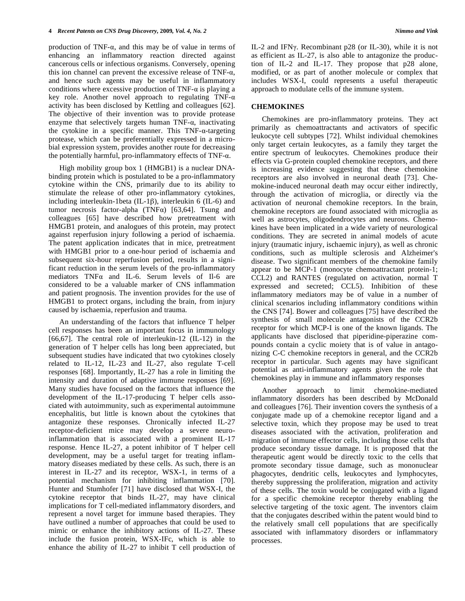production of TNF- $\alpha$ , and this may be of value in terms of enhancing an inflammatory reaction directed against cancerous cells or infectious organisms. Conversely, opening this ion channel can prevent the excessive release of  $TNF-\alpha$ , and hence such agents may be useful in inflammatory conditions where excessive production of  $TNF-\alpha$  is playing a key role. Another novel approach to regulating TNF- $\alpha$ activity has been disclosed by Kettling and colleagues [62]. The objective of their invention was to provide protease enzyme that selectively targets human  $TNF-\alpha$ , inactivating the cytokine in a specific manner. This  $TNF-\alpha$ -targeting protease, which can be preferentially expressed in a microbial expression system, provides another route for decreasing the potentially harmful, pro-inflammatory effects of  $TNF-\alpha$ .

 High mobility group box 1 (HMGB1) is a nuclear DNAbinding protein which is postulated to be a pro-inflammatory cytokine within the CNS, primarily due to its ability to stimulate the release of other pro-inflammatory cytokines, including interleukin-1beta (IL-1 $\beta$ ), interleukin 6 (IL-6) and tumor necrosis factor-alpha (TNF $\alpha$ ) [63,64]. Tsung and colleagues [65] have described how pretreatment with HMGB1 protein, and analogues of this protein, may protect against reperfusion injury following a period of ischaemia. The patent application indicates that in mice, pretreatment with HMGB1 prior to a one-hour period of ischaemia and subsequent six-hour reperfusion period, results in a significant reduction in the serum levels of the pro-inflammatory mediators  $TNF\alpha$  and IL-6. Serum levels of Il-6 are considered to be a valuable marker of CNS inflammation and patient prognosis. The invention provides for the use of HMGB1 to protect organs, including the brain, from injury caused by ischaemia, reperfusion and trauma.

 An understanding of the factors that influence T helper cell responses has been an important focus in immunology [66,67]. The central role of interleukin-12 (IL-12) in the generation of T helper cells has long been appreciated, but subsequent studies have indicated that two cytokines closely related to IL-12, IL-23 and IL-27, also regulate T-cell responses [68]. Importantly, IL-27 has a role in limiting the intensity and duration of adaptive immune responses [69]. Many studies have focused on the factors that influence the development of the IL-17-producing T helper cells associated with autoimmunity, such as experimental autoimmune encephalitis, but little is known about the cytokines that antagonize these responses. Chronically infected IL-27 receptor-deficient mice may develop a severe neuroinflammation that is associated with a prominent IL-17 response. Hence IL-27, a potent inhibitor of T helper cell development, may be a useful target for treating inflammatory diseases mediated by these cells. As such, there is an interest in IL-27 and its receptor, WSX-1, in terms of a potential mechanism for inhibiting inflammation [70]. Hunter and Stumhofer [71] have disclosed that WSX-I, the cytokine receptor that binds IL-27, may have clinical implications for T cell-mediated inflammatory disorders, and represent a novel target for immune based therapies. They have outlined a number of approaches that could be used to mimic or enhance the inhibitory actions of IL-27. These include the fusion protein, WSX-IFc, which is able to enhance the ability of IL-27 to inhibit T cell production of

IL-2 and IFNy. Recombinant p28 (or IL-30), while it is not as efficient as IL-27, is also able to antagonize the production of IL-2 and IL-17. They propose that p28 alone, modified, or as part of another molecule or complex that includes WSX-I, could represents a useful therapeutic approach to modulate cells of the immune system.

## **CHEMOKINES**

 Chemokines are pro-inflammatory proteins. They act primarily as chemoattractants and activators of specific leukocyte cell subtypes [72]. Whilst individual chemokines only target certain leukocytes, as a family they target the entire spectrum of leukocytes. Chemokines produce their effects via G-protein coupled chemokine receptors, and there is increasing evidence suggesting that these chemokine receptors are also involved in neuronal death [73]. Chemokine-induced neuronal death may occur either indirectly, through the activation of microglia, or directly via the activation of neuronal chemokine receptors. In the brain, chemokine receptors are found associated with microglia as well as astrocytes, oligodendrocytes and neurons. Chemokines have been implicated in a wide variety of neurological conditions. They are secreted in animal models of acute injury (traumatic injury, ischaemic injury), as well as chronic conditions, such as multiple sclerosis and Alzheimer's disease. Two significant members of the chemokine family appear to be MCP-1 (monocyte chemoattractant protein-1; CCL2) and RANTES (regulated on activation, normal T expressed and secreted; CCL5). Inhibition of these inflammatory mediators may be of value in a number of clinical scenarios including inflammatory conditions within the CNS [74]. Bower and colleagues [75] have described the synthesis of small molecule antagonists of the CCR2b receptor for which MCP-I is one of the known ligands. The applicants have disclosed that piperidine-piperazine compounds contain a cyclic moiety that is of value in antagonizing C-C chemokine receptors in general, and the CCR2b receptor in particular. Such agents may have significant potential as anti-inflammatory agents given the role that chemokines play in immune and inflammatory responses

 Another approach to limit chemokine-mediated inflammatory disorders has been described by McDonald and colleagues [76]. Their invention covers the synthesis of a conjugate made up of a chemokine receptor ligand and a selective toxin, which they propose may be used to treat diseases associated with the activation, proliferation and migration of immune effector cells, including those cells that produce secondary tissue damage. It is proposed that the therapeutic agent would be directly toxic to the cells that promote secondary tissue damage, such as mononuclear phagocytes, dendritic cells, leukocytes and lymphocytes, thereby suppressing the proliferation, migration and activity of these cells. The toxin would be conjugated with a ligand for a specific chemokine receptor thereby enabling the selective targeting of the toxic agent. The inventors claim that the conjugates described within the patent would bind to the relatively small cell populations that are specifically associated with inflammatory disorders or inflammatory processes.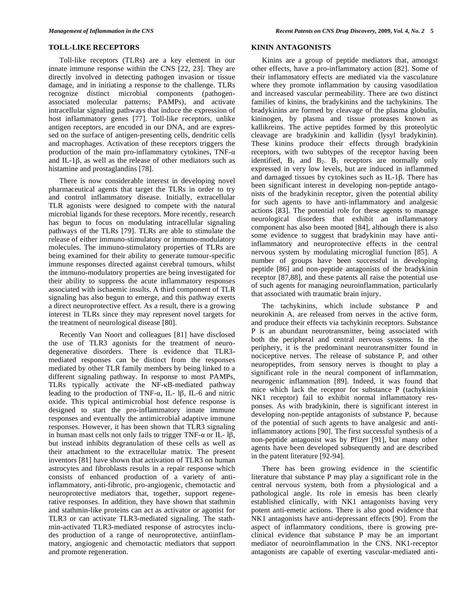Toll-like receptors (TLRs) are a key element in our innate immune response within the CNS [22, 23]. They are directly involved in detecting pathogen invasion or tissue damage, and in initiating a response to the challenge. TLRs recognize distinct microbial components (pathogenassociated molecular patterns; PAMPs), and activate intracellular signaling pathways that induce the expression of host inflammatory genes [77]. Toll-like receptors, unlike antigen receptors, are encoded in our DNA, and are expressed on the surface of antigen-presenting cells, dendritic cells and macrophages. Activation of these receptors triggers the production of the main pro-inflammatory cytokines,  $TNF-\alpha$ and IL-1 $\beta$ , as well as the release of other mediators such as histamine and prostaglandins [78].

 There is now considerable interest in developing novel pharmaceutical agents that target the TLRs in order to try and control inflammatory disease. Initially, extracellular TLR agonists were designed to compete with the natural microbial ligands for these receptors. More recently, research has begun to focus on modulating intracellular signaling pathways of the TLRs [79]. TLRs are able to stimulate the release of either immuno-stimulatory or immuno-modulatory molecules. The immuno-stimulatory properties of TLRs are being examined for their ability to generate tumour-specific immune responses directed against cerebral tumours, whilst the immuno-modulatory properties are being investigated for their ability to suppress the acute inflammatory responses associated with ischaemic insults. A third component of TLR signaling has also begun to emerge, and this pathway exerts a direct neuroprotective effect. As a result, there is a growing interest in TLRs since they may represent novel targets for the treatment of neurological disease [80].

 Recently Van Noort and colleagues [81] have disclosed the use of TLR3 agonists for the treatment of neurodegenerative disorders. There is evidence that TLR3 mediated responses can be distinct from the responses mediated by other TLR family members by being linked to a different signaling pathway. In response to most PAMPs, TLRs typically activate the NF-KB-mediated pathway leading to the production of TNF- $\alpha$ , IL- 1 $\beta$ , IL-6 and nitric oxide. This typical antimicrobial host defence response is designed to start the pro-inflammatory innate immune responses and eventually the antimicrobial adaptive immune responses. However, it has been shown that TLR3 signaling in human mast cells not only fails to trigger TNF- $\alpha$  or IL-  $1\beta$ , but instead inhibits degranulation of these cells as well as their attachment to the extracellular matrix. The present inventors [81] have shown that activation of TLR3 on human astrocytes and fibroblasts results in a repair response which consists of enhanced production of a variety of antiinflammatory, anti-fibrotic, pro-angiogenic, chemotactic and neuroprotective mediators that, together, support regenerative responses. In addition, they have shown that stathmin and stathmin-like proteins can act as activator or agonist for TLR3 or can activate TLR3-mediated signaling. The stathmin-activated TLR3-mediated response of astrocytes includes production of a range of neuroprotective, antiinflammatory, angiogenic and chemotactic mediators that support and promote regeneration.

#### **KININ ANTAGONISTS**

 Kinins are a group of peptide mediators that, amongst other effects, have a pro-inflammatory action [82]. Some of their inflammatory effects are mediated via the vasculature where they promote inflammation by causing vasodilation and increased vascular permeability. There are two distinct families of kinins, the bradykinins and the tachykinins. The bradykinins are formed by cleavage of the plasma globulin, kininogen, by plasma and tissue proteases known as kallikreins. The active peptides formed by this proteolytic cleavage are bradykinin and kallidin (lysyl bradykinin). These kinins produce their effects through bradykinin receptors, with two subtypes of the receptor having been identified,  $B_1$  and  $B_2$ .  $B_1$  receptors are normally only expressed in very low levels, but are induced in inflammed and damaged tissues by cytokines such as IL-1 $\beta$ . There has been significant interest in developing non-peptide antagonists of the bradykinin receptor, given the potential ability for such agents to have anti-inflammatory and analgesic actions [83]. The potential role for these agents to manage neurological disorders that exhibit an inflammatory component has also been mooted [84], although there is also some evidence to suggest that bradykinin may have antiinflammatory and neuroprotective effects in the central nervous system by modulating microglial function [85]. A number of groups have been successful in developing peptide [86] and non-peptide antagonists of the bradykinin receptor [87,88], and these patents all raise the potential use of such agents for managing neuroinflammation, particularly that associated with traumatic brain injury.

 The tachykinins, which include substance P and neurokinin A, are released from nerves in the active form, and produce their effects via tachykinin receptors. Substance P is an abundant neurotransmitter, being associated with both the peripheral and central nervous systems. In the periphery, it is the predominant neurotransmitter found in nociceptive nerves. The release of substance P, and other neuropeptides, from sensory nerves is thought to play a significant role in the neural component of inflammation, neurogenic inflammation [89]. Indeed, it was found that mice which lack the receptor for substance P (tachykinin NK1 receptor) fail to exhibit normal inflammatory responses. As with bradykinin, there is significant interest in developing non-peptide antagonists of substance P, because of the potential of such agents to have analgesic and antiinflammatory actions [90]. The first successful synthesis of a non-peptide antagonist was by Pfizer [91], but many other agents have been developed subsequently and are described in the patent literature [92-94].

 There has been growing evidence in the scientific literature that substance P may play a significant role in the central nervous system, both from a physiological and a pathological angle. Its role in emesis has been clearly established clinically, with NK1 antagonists having very potent anti-emetic actions. There is also good evidence that NK1 antagonists have anti-depressant effects [90]. From the aspect of inflammatory conditions, there is growing preclinical evidence that substance P may be an important mediator of neuroinflammation in the CNS. NK1-receptor antagonists are capable of exerting vascular-mediated anti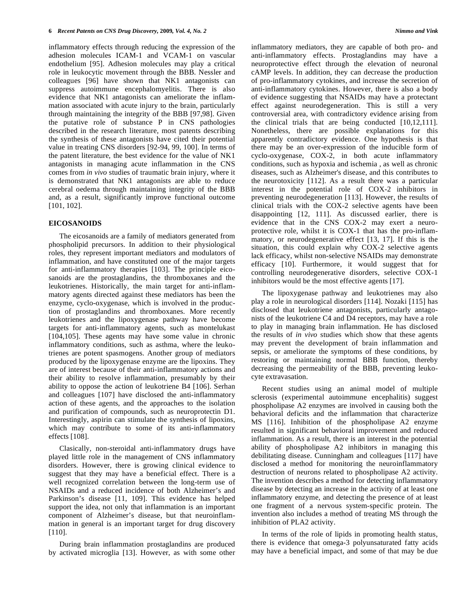inflammatory effects through reducing the expression of the adhesion molecules ICAM-1 and VCAM-1 on vascular endothelium [95]. Adhesion molecules may play a critical role in leukocytic movement through the BBB. Nessler and colleagues [96] have shown that NK1 antagonists can suppress autoimmune encephalomyelitis. There is also evidence that NK1 antagonists can ameliorate the inflammation associated with acute injury to the brain, particularly through maintaining the integrity of the BBB [97,98]. Given the putative role of substance P in CNS pathologies described in the research literature, most patents describing the synthesis of these antagonists have cited their potential value in treating CNS disorders [92-94, 99, 100]. In terms of the patent literature, the best evidence for the value of NK1 antagonists in managing acute inflammation in the CNS comes from *in vivo* studies of traumatic brain injury, where it is demonstrated that NK1 antagonists are able to reduce cerebral oedema through maintaining integrity of the BBB and, as a result, significantly improve functional outcome [101, 102].

# **EICOSANOIDS**

 The eicosanoids are a family of mediators generated from phospholipid precursors. In addition to their physiological roles, they represent important mediators and modulators of inflammation, and have constituted one of the major targets for anti-inflammatory therapies [103]. The principle eicosanoids are the prostaglandins, the thromboxanes and the leukotrienes. Historically, the main target for anti-inflammatory agents directed against these mediators has been the enzyme, cyclo-oxygenase, which is involved in the production of prostaglandins and thromboxanes. More recently leukotrienes and the lipoxygenase pathway have become targets for anti-inflammatory agents, such as montelukast [104,105]. These agents may have some value in chronic inflammatory conditions, such as asthma, where the leukotrienes are potent spasmogens. Another group of mediators produced by the lipoxygenase enzyme are the lipoxins. They are of interest because of their anti-inflammatory actions and their ability to resolve inflammation, presumably by their ability to oppose the action of leukotriene B4 [106]. Serhan and colleagues [107] have disclosed the anti-inflammatory action of these agents, and the approaches to the isolation and purification of compounds, such as neuroprotectin D1. Interestingly, aspirin can stimulate the synthesis of lipoxins, which may contribute to some of its anti-inflammatory effects [108].

 Clasically, non-steroidal anti-inflammatory drugs have played little role in the management of CNS inflammatory disorders. However, there is growing clinical evidence to suggest that they may have a beneficial effect. There is a well recognized correlation between the long-term use of NSAIDs and a reduced incidence of both Alzheimer's and Parkinson's disease [11, 109]. This evidence has helped support the idea, not only that inflammation is an important component of Alzheimer's disease, but that neuroinflammation in general is an important target for drug discovery [110].

 During brain inflammation prostaglandins are produced by activated microglia [13]. However, as with some other

inflammatory mediators, they are capable of both pro- and anti-inflammatory effects. Prostaglandins may have a neuroprotective effect through the elevation of neuronal cAMP levels. In addition, they can decrease the production of pro-inflammatory cytokines, and increase the secretion of anti-inflammatory cytokines. However, there is also a body of evidence suggesting that NSAIDs may have a protectant effect against neurodegeneration. This is still a very controversial area, with contradictory evidence arising from the clinical trials that are being conducted [10,12,111]. Nonetheless, there are possible explanations for this apparently contradictory evidence. One hypothesis is that there may be an over-expression of the inducible form of cyclo-oxygenase, COX-2, in both acute inflammatory conditions, such as hypoxia and ischemia , as well as chronic diseases, such as Alzheimer's disease, and this contributes to the neurotoxicity [112]. As a result there was a particular interest in the potential role of COX-2 inhibitors in preventing neurodegeneration [113]. However, the results of clinical trials with the COX-2 selective agents have been disappointing [12, 111]. As discussed earlier, there is evidence that in the CNS COX-2 may exert a neuroprotective role, whilst it is COX-1 that has the pro-inflammatory, or neurodegenerative effect [13, 17]. If this is the situation, this could explain why COX-2 selective agents lack efficacy, whilst non-selective NSAIDs may demonstrate efficacy [10]. Furthermore, it would suggest that for controlling neurodegenerative disorders, selective COX-1 inhibitors would be the most effective agents [17].

 The lipoxygenase pathway and leukotrienes may also play a role in neurological disorders [114]. Nozaki [115] has disclosed that leukotriene antagonists, particularly antagonists of the leukotriene C4 and D4 receptors, may have a role to play in managing brain inflammation. He has disclosed the results of *in vivo* studies which show that these agents may prevent the development of brain inflammation and sepsis, or ameliorate the symptoms of these conditions, by restoring or maintaining normal BBB function, thereby decreasing the permeability of the BBB, preventing leukocyte extravasation.

 Recent studies using an animal model of multiple sclerosis (experimental autoimmune encephalitis) suggest phospholipase A2 enzymes are involved in causing both the behavioral deficits and the inflammation that characterize MS [116]. Inhibition of the phospholipase A2 enzyme resulted in significant behavioral improvement and reduced inflammation. As a result, there is an interest in the potential ability of phospholipase A2 inhibitors in managing this debilitating disease. Cunningham and colleagues [117] have disclosed a method for monitoring the neuroinflammatory destruction of neurons related to phospholipase A2 activity. The invention describes a method for detecting inflammatory disease by detecting an increase in the activity of at least one inflammatory enzyme, and detecting the presence of at least one fragment of a nervous system-specific protein. The invention also includes a method of treating MS through the inhibition of PLA2 activity.

 In terms of the role of lipids in promoting health status, there is evidence that omega-3 polyunsaturated fatty acids may have a beneficial impact, and some of that may be due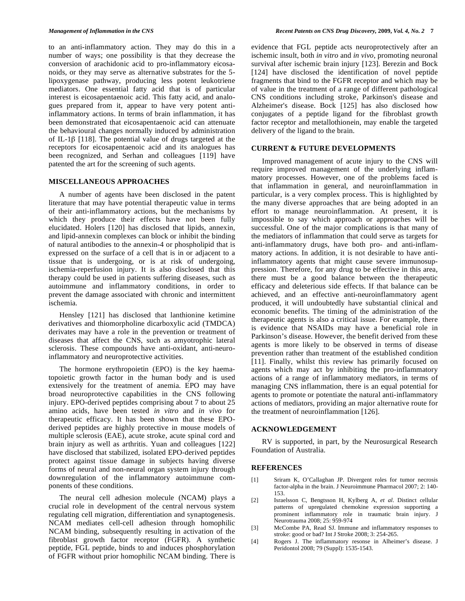to an anti-inflammatory action. They may do this in a number of ways; one possibility is that they decrease the conversion of arachidonic acid to pro-inflammatory eicosanoids, or they may serve as alternative substrates for the 5 lipoxygenase pathway, producing less potent leukotriene mediators. One essential fatty acid that is of particular interest is eicosapentaenoic acid. This fatty acid, and analogues prepared from it, appear to have very potent antiinflammatory actions. In terms of brain inflammation, it has been demonstrated that eicosapentaenoic acid can attenuate the behavioural changes normally induced by administration of IL-1 $\beta$  [118]. The potential value of drugs targeted at the receptors for eicosapentaenoic acid and its analogues has been recognized, and Serhan and colleagues [119] have patented the art for the screening of such agents.

#### **MISCELLANEOUS APPROACHES**

 A number of agents have been disclosed in the patent literature that may have potential therapeutic value in terms of their anti-inflammatory actions, but the mechanisms by which they produce their effects have not been fully elucidated. Holers [120] has disclosed that lipids, annexin, and lipid-annexin complexes can block or inhibit the binding of natural antibodies to the annexin-4 or phospholipid that is expressed on the surface of a cell that is in or adjacent to a tissue that is undergoing, or is at risk of undergoing, ischemia-reperfusion injury. It is also disclosed that this therapy could be used in patients suffering diseases, such as autoimmune and inflammatory conditions, in order to prevent the damage associated with chronic and intermittent ischemia.

 Hensley [121] has disclosed that lanthionine ketimine derivatives and thiomorpholine dicarboxylic acid (TMDCA) derivates may have a role in the prevention or treatment of diseases that affect the CNS, such as amyotrophic lateral sclerosis. These compounds have anti-oxidant, anti-neuroinflammatory and neuroprotective activities.

 The hormone erythropoietin (EPO) is the key haematopoietic growth factor in the human body and is used extensively for the treatment of anemia. EPO may have broad neuroprotective capabilities in the CNS following injury. EPO-derived peptides comprising about 7 to about 25 amino acids, have been tested *in vitro* and *in vivo* for therapeutic efficacy. It has been shown that these EPOderived peptides are highly protective in mouse models of multiple sclerosis (EAE), acute stroke, acute spinal cord and brain injury as well as arthritis. Yuan and colleagues [122] have disclosed that stabilized, isolated EPO-derived peptides protect against tissue damage in subjects having diverse forms of neural and non-neural organ system injury through downregulation of the inflammatory autoimmune components of these conditions.

 The neural cell adhesion molecule (NCAM) plays a crucial role in development of the central nervous system regulating cell migration, differentiation and synaptogenesis. NCAM mediates cell-cell adhesion through homophilic NCAM binding, subsequently resulting in activation of the fibroblast growth factor receptor (FGFR). A synthetic peptide, FGL peptide, binds to and induces phosphorylation of FGFR without prior homophilic NCAM binding. There is

evidence that FGL peptide acts neuroprotectively after an ischemic insult, both *in vitro* and *in vivo*, promoting neuronal survival after ischemic brain injury [123]. Berezin and Bock [124] have disclosed the identification of novel peptide fragments that bind to the FGFR receptor and which may be of value in the treatment of a range of different pathological CNS conditions including stroke, Parkinson's disease and Alzheimer's disease. Bock [125] has also disclosed how conjugates of a peptide ligand for the fibroblast growth factor receptor and metallothionein, may enable the targeted delivery of the ligand to the brain.

## **CURRENT & FUTURE DEVELOPMENTS**

 Improved management of acute injury to the CNS will require improved management of the underlying inflammatory processes. However, one of the problems faced is that inflammation in general, and neuroinflammation in particular, is a very complex process. This is highlighted by the many diverse approaches that are being adopted in an effort to manage neuroinflammation. At present, it is impossible to say which approach or approaches will be successful. One of the major complications is that many of the mediators of inflammation that could serve as targets for anti-inflammatory drugs, have both pro- and anti-inflammatory actions. In addition, it is not desirable to have antiinflammatory agents that might cause severe immunosuppression. Therefore, for any drug to be effective in this area, there must be a good balance between the therapeutic efficacy and deleterious side effects. If that balance can be achieved, and an effective anti-neuroinflammatory agent produced, it will undoubtedly have substantial clinical and economic benefits. The timing of the administration of the therapeutic agents is also a critical issue. For example, there is evidence that NSAIDs may have a beneficial role in Parkinson's disease. However, the benefit derived from these agents is more likely to be observed in terms of disease prevention rather than treatment of the established condition [11]. Finally, whilst this review has primarily focused on agents which may act by inhibiting the pro-inflammatory actions of a range of inflammatory mediators, in terms of managing CNS inflammation, there is an equal potential for agents to promote or potentiate the natural anti-inflammatory actions of mediators, providing an major alternative route for the treatment of neuroinflammation [126].

# **ACKNOWLEDGEMENT**

 RV is supported, in part, by the Neurosurgical Research Foundation of Australia.

## **REFERENCES**

- [1] Sriram K, O'Callaghan JP. Divergent roles for tumor necrosis factor-alpha in the brain. J Neuroimmune Pharmacol 2007; 2: 140- 153.
- [2] Israelsson C, Bengtsson H, Kylberg A, *et al*. Distinct cellular patterns of upregulated chemokine expression supporting a prominent inflammatory role in traumatic brain injury. J Neurotrauma 2008; 25: 959-974
- [3] McCombe PA, Read SJ. Immune and inflammatory responses to stroke: good or bad? Int J Stroke 2008; 3: 254-265.
- [4] Rogers J. The inflammatory resonse in Alheimer's disease. J Peridontol 2008; 79 (Suppl): 1535-1543.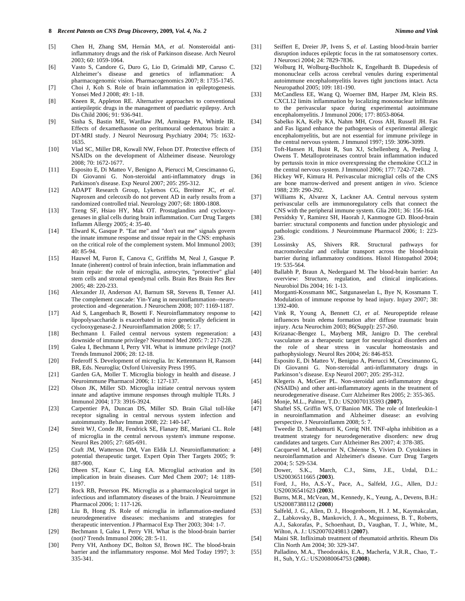- [5] Chen H, Zhang SM, Hernán MA, *et al*. Nonsteroidal antiinflammatory drugs and the risk of Parkinson disease. Arch Neurol 2003; 60: 1059-1064.
- [6] Vasto S, Candore G, Duro G, Lio D, Grimaldi MP, Caruso C. Alzheimer's disease and genetics of inflammation: A pharmacogenomic vision. Pharmacogenomics 2007; 8: 1735-1745.
- [7] Choi J, Koh S. Role of brain inflammation in epileptogenesis. Yonsei Med J 2008; 49: 1-18.
- [8] Kneen R, Appleton RE. Alternative approaches to conventional antiepileptic drugs in the management of paediatric epilepsy. Arch Dis Child 2006; 91: 936-941.
- [9] Sinha S, Bastin ME, Wardlaw JM, Armitage PA, Whittle IR. Effects of dexamethasone on peritumoural oedematous brain: a DT-MRI study. J Neurol Neurosurg Psychiatry 2004; 75: 1632- 1635.
- [10] Vlad SC, Miller DR, Kowall NW, Felson DT. Protective effects of NSAIDs on the development of Alzheimer disease. Neurology 2008; 70: 1672-1677.
- [11] Esposito E, Di Matteo V, Benigno A, Pierucci M, Crescimanno G, Di Giovanni G. Non-steroidal anti-inflammatory drugs in Parkinson's disease. Exp Neurol 2007; 205: 295-312.
- [12] ADAPT Research Group, Lyketsos CG, Breitner JC, *et al*. Naproxen and celecoxib do not prevent AD in early results from a randomized controlled trial. Neurology 2007; 68: 1800-1808.
- [13] Tzeng SF, Hsiao HY, Mak OT. Prostaglandins and cyclooxygenases in glial cells during brain inflammation. Curr Drug Targets Inflamm Allergy 2005; 4: 35-40.
- [14] Elward K, Gasque P. "Eat me" and "don't eat me" signals govern the innate immune response and tissue repair in the CNS: emphasis on the critical role of the complement system. Mol Immunol 2003; 40: 85-94.
- [15] Hauwel M, Furon E, Canova C, Griffiths M, Neal J, Gasque P. Innate (inherent) control of brain infection, brain inflammation and brain repair: the role of microglia, astrocytes, "protective" glial stem cells and stromal ependymal cells. Brain Res Brain Res Rev 2005; 48: 220-233.
- [16] Alexander JJ, Anderson AJ, Barnum SR, Stevens B, Tenner AJ. The complement cascade: Yin-Yang in neuroinflammation--neuroprotection and -degeneration. J Neurochem 2008; 107: 1169-1187.
- [17] Aid S, Langenbach R, Bosetti F. Neuroinflammatory response to lipopolysaccharide is exacerbated in mice genetically deficient in cyclooxygenase-2. J Neuroinflammation 2008; 5: 17.
- [18] Bechmann I. Failed central nervous system regeneration: a downside of immune privilege? Neuromol Med 2005: 7: 217-228.
- [19] Galea I, Bechmann I, Perry VH. What is immune privilege (not)? Trends Immunol 2006; 28: 12-18.
- [20] Federoff S. Development of microglia. In: Kettenmann H, Ransom BR, Eds. Neuroglia; Oxford University Press 1995.
- [21] Garden GA, Moller T. Microglia biology in health and disease. J Neuroimmune Pharmacol 2006; 1: 127-137.
- [22] Olson JK, Miller SD. Microglia initiate central nervous system innate and adaptive immune responses through multiple TLRs. J Immunol 2004; 173: 3916-3924.
- [23] Carpentier PA, Duncan DS, Miller SD. Brain Glial toll-like receptor signaling in central nervous system infection and autoimmunity. Behav Immun 2008; 22: 140-147.
- [24] Streit WJ, Conde JR, Fendrick SE, Flanary BE, Mariani CL. Role of microglia in the central nervous system's immune response. Neurol Res 2005; 27: 685-691.
- [25] Craft JM, Watterson DM, Van Eldik LJ. Neuroinflammation: a potential therapeutic target. Expert Opin Ther Targets 2005; 9: 887-900.
- [26] Dheen ST, Kaur C, Ling EA. Microglial activation and its implication in brain diseases. Curr Med Chem 2007; 14: 1189- 1197.
- [27] Rock RB, Peterson PK. Microglia as a pharmacological target in infectious and inflammatory diseases of the brain. J Neuroimmune Pharmacol 2006; 1: 117-126.
- [28] Liu B, Hong JS. Role of microglia in inflammation-mediated neurodegenerative diseases: mechanisms and strategies for therapeutic intervention. J Pharmacol Exp Ther 2003; 304: 1-7.
- [29] Bechmann I, Galea I, Perry VH. What is the blood-brain barrier (not)? Trends Immunol 2006; 28: 5-11.
- [30] Perry VH, Anthony DC, Bolton SJ, Brown HC. The blood-brain barrier and the inflammatory response. Mol Med Today 1997; 3: 335-341.
- [31] Seiffert E, Dreier JP, Ivens S, *et al*. Lasting blood-brain barrier disruption induces epileptic focus in the rat somatosensory cortex. J Neurosci 2004; 24: 7829-7836.
- [32] Wolburg H, Wolburg-Buchholz K, Engelhardt B. Diapedesis of mononuclear cells across cerebral venules during experimental autoimmune encephalomyelitis leaves tight junctions intact. Acta Neuropathol 2005; 109: 181-190.
- [33] McCandless EE, Wang Q, Woerner BM, Harper JM, Klein RS. CXCL12 limits inflammation by localizing mononuclear infiltrates to the perivascular space during experimental autoimmune encephalomyelitis. J Immunol 2006; 177: 8053-8064.
- [34] Sabelko KA, Kelly KA, Nahm MH, Cross AH, Russell JH. Fas and Fas ligand enhance the pathogenesis of experimental allergic encephalomyelitis, but are not essential for immune privilege in the central nervous system. J Immunol 1997; 159: 3096-3099.
- [35] Toft-Hansen H, Buist R, Sun XJ, Schellenberg A, Peeling J, Owens T. Metalloproteinases control brain inflammation induced by pertussis toxin in mice overexpressing the chemokine CCL2 in the central nervous system. J Immunol 2006; 177: 7242-7249.
- [36] Hickey WF, Kimura H. Perivascular microglial cells of the CNS are bone marrow-derived and present antigen *in vivo*. Science 1988; 239: 290-292.
- [37] Williams K, Alvarez X, Lackner AA. Central nervous system perivascular cells are immunoregulatory cells that connect the CNS with the peripheral immune system. Glia 2001; 36: 156-164.
- [38] Persidsky Y, Ramirez SH, Haorah J, Kanmogne GD. Blood-brain barrier: structural components and function under physiologic and pathologic conditions. J Neuroimmune Pharmacol 2006; 1: 223- 236.
- [39] Lossinsky AS, Shivers RR. Structural pathways for macromolecular and cellular transport across the blood-brain barrier during inflammatory conditions. Histol Histopathol 2004; 19: 535-564.
- [40] Ballabh P, Braun A, Nedergaard M. The blood-brain barrier: An overview: Structure, regulation, and clinical implications. Neurobiol Dis 2004; 16: 1-13.
- [41] Morganti-Kossmann MC, Satgunaseelan L, Bye N, Kossmann T. Modulation of immune response by head injury. Injury 2007; 38: 1392-400.
- [42] Vink R, Young A, Bennett CJ, *et al*. Neuropeptide release influences brain edema formation after diffuse traumatic brain injury. Acta Neurochim 2003; 86(Suppl): 257-260.
- [43] Krizanac-Bengez L, Mayberg MR, Janigro D. The cerebral vasculature as a therapeutic target for neurological disorders and the role of shear stress in vascular homeostasis and pathophysiology. Neurol Res 2004; 26: 846-853.
- [44] Esposito E, Di Matteo V, Benigno A, Pierucci M, Crescimanno G, Di Giovanni G. Non-steroidal anti-inflammatory drugs in Parkinson's disease. Exp Neurol 2007; 205: 295-312.
- [45] Klegeris A, McGeer PL. Non-steroidal anti-inflammatory drugs (NSAIDs) and other anti-inflammatory agents in the treatment of neurodegenerative disease. Curr Alzheimer Res 2005; 2: 355-365.
- [46] Monje, M.L., Palmer, T.D.: US20070135393 (**2007**).
- [47] Shaftel SS, Griffin WS, O'Banion MK. The role of Interleukin-1 in neuroinflammation and Alzheimer disease: an evolving perspective. J Neuroinflamm 2008; 5: 7.
- [48] Tweedie D, Sambamurti K, Greig NH. TNF-alpha inhibition as a treatment strategy for neurodegenerative disorders: new drug candidates and targets. Curr Alzheimer Res 2007; 4: 378-385.
- [49] Cacquevel M, Lebeurrier N, Chéenne S, Vivien D. Cytokines in neuroinflammation and Alzheimer's disease. Curr Drug Targets 2004; 5: 529-534.
- [50] Dower, S.K., March, C.J., Sims, J.E., Urdal, D.L.: US20036511665 (**2003**).
- [51] Ford, J., Ho, A.S.-Y., Pace, A., Salfeld, J.G., Allen, D.J.: US20036541623 (**2003**).
- [52] Burns, M.R., McVean, M., Kennedy, K., Yeung, A., Devens, B.H.: US20087388112 (**2008**)
- [53] Salfeld, J. G., Allen, D. J., Hoogenboom, H. J. M., Kaymakcalan, Z., Labkovsky, B., Mankovich, J. A., Mcguinness, B. T., Roberts, A.J., Sakorafas, P., Schoenhaut, D., Vaughan, T. J., White, M., Wilton, A. J.: US20070249813 (**2007**).
- [54] Maini SR. Infliximab treatment of rheumatoid arthritis. Rheum Dis Clin North Am 2004; 30: 329-347.
- [55] Palladino, M.A., Theodorakis, E.A., Macherla, V.R.R., Chao, T.- H., Suh, Y.G.: US20080064753 (**2008**).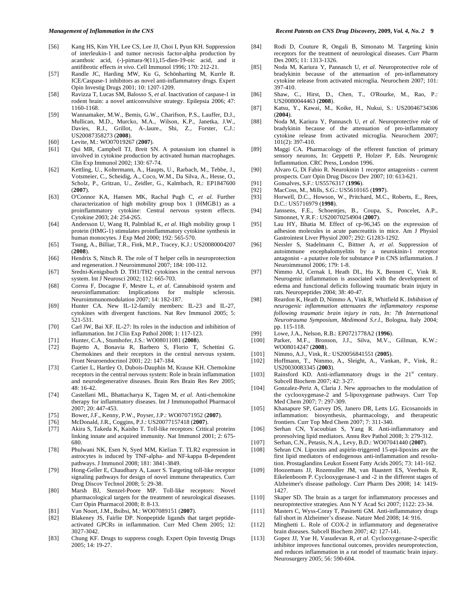- [56] Kang HS, Kim YH, Lee CS, Lee JJ, Choi I, Pyun KH. Suppression of interleukin-1 and tumor necrosis factor-alpha production by acanthoic acid, (-)-pimara-9(11),15-dien-19-oic acid, and it antifibrotic effects *in vivo*. Cell Immunol 1996; 170: 212-21.
- [57] Randle JC, Harding MW, Ku G, Schönharting M, Kurrle R. ICE/Caspase-1 inhibitors as novel anti-inflammatory drugs. Expert Opin Investig Drugs 2001; 10: 1207-1209.
- [58] Ravizza T, Lucas SM, Balosso S, *et al*. Inactivation of caspase-1 in rodent brain: a novel anticonvulsive strategy. Epilepsia 2006; 47: 1160-1168.
- [59] Wannamaker, M.W., Bemis, G.W., Charifson, P.S., Lauffer, D.J., Mullican, M.D., Murcko, M.A., Wilson, K.P., Janetka, J.W., Davies, R.J., Grillot, A-.laure., Shi, Z., Forster, C.J.: US20087358273 (**2008**).
- [60] Levite, M.: WO07019267 (**2007**).
- [61] Qui MR, Campbell TJ, Breit SN. A potassium ion channel is involved in cytokine production by activated human macrophages. Clin Exp Immunol 2002; 130: 67-74.
- [62] Kettling, U., Koltermann, A., Haupts, U., Rarbach, M., Tebbe, J., Votsmeier, C., Scheidig, A., Coco, W.M., Da Silva, A., Hesse, O., Scholz, P., Gritzan, U., Zeidler, G., Kalmbach, R.: EP1847600 (**2007**).
- [63] O'Connor KA, Hansen MK, Rachal Pugh C, *et al*. Further characterization of high mobility group box 1 (HMGB1) as a proinflammatory cytokine: Central nervous system effects. Cytokine 2003; 24: 254-265.
- [64] Andersson U, Wang H, Palmblad K, *et al*. High mobility group 1 protein (HMG-1) stimulates proinflammatory cytokine synthesis in human monocytes. J Exp Med 2000; 192: 565-570.
- [65] Tsung, A., Billiar, T.R., Fink, M.P., Tracey, K.J.: US20080004207 (**2008**).
- [66] Hendrix S, Nitsch R. The role of T helper cells in neuroprotection and regeneration. J Neuroimmunol 2007; 184: 100-112.
- [67] Sredni-Kenigsbuch D. TH1/TH2 cytokines in the central nervous system. Int J Neurosci 2002; 112: 665-703.
- [68] Correa F, Docagne F, Mestre L, *et al*. Cannabinoid system and neuroinflammation: Implications for multiple sclerosis. Neuroimmunomodulation 2007; 14: 182-187.
- [69] Hunter CA. New IL-12-family members: IL-23 and IL-27, cytokines with divergent functions. Nat Rev Immunol 2005; 5: 521-531.
- [70] Carl JW, Bai XF. IL-27: Its roles in the induction and inhibition of inflammation. Int J Clin Exp Pathol 2008; 1: 117-123.
- [71] Hunter, C.A., Stumhofer, J.S.: WO08011081 (**2008**).
- Bajetto A, Bonavia R, Barbero S, Florio T, Schettini G. Chemokines and their receptors in the central nervous system. Front Neuroendocrinol 2001; 22: 147-184.
- [73] Cartier L, Hartley O, Dubois-Dauphin M, Krause KH. Chemokine receptors in the central nervous system: Role in brain inflammation and neurodegenerative diseases. Brain Res Brain Res Rev 2005; 48: 16-42.
- [74] Castellani ML, Bhattacharya K, Tagen M, *et al*. Anti-chemokine therapy for inflammatory diseases. Int J Immunopathol Pharmacol 2007; 20: 447-453.
- [75] Bower, J.F., Kenny, P.W., Poyser, J.P.: WO07071952 (**2007**).
- [76] McDonald, J.R., Coggins, P.J.: US20077157418 (**2007**).
- Akira S, Takeda K, Kaisho T. Toll-like receptors: Critical proteins linking innate and acquired immunity. Nat Immunol 2001; 2: 675- 680.
- [78] Phulwani NK, Esen N, Syed MM, Kielian T. TLR2 expression in astrocytes is induced by TNF-alpha- and NF-kappa B-dependent pathways. J Immunol 2008; 181: 3841-3849.
- [79] Hong-Geller E, Chaudhary A, Lauer S. Targeting toll-like receptor signaling pathways for design of novel immune therapeutics. Curr Drug Discov Technol 2008; 5: 29-38.
- [80] Marsh BJ, Stenzel-Poore MP. Toll-like receptors: Novel pharmacological targets for the treatment of neurological diseases. Curr Opin Pharmacol 2008; 8: 8-13.
- [81] Van Noort, J.M., Bsibsi, M.: WO07089151 (**2007**).
- [82] Blakeney JS, Fairlie DP. Nonpeptide ligands that target peptideactivated GPCRs in inflammation. Curr Med Chem 2005; 12: 3027-3042.
- [83] Chung KF. Drugs to suppress cough. Expert Opin Investig Drugs 2005; 14: 19-27.
- [84] Rodi D, Couture R, Ongali B, Simonato M. Targeting kinin receptors for the treatment of neurological diseases. Curr Pharm Des 2005; 11: 1313-1326.
- [85] Noda M, Kariura Y, Pannasch U, *et al*. Neuroprotective role of bradykinin because of the attenuation of pro-inflammatory cytokine release from activated microglia. Neurochem 2007; 101: 397-410.
- [86] Shaw, C., Hirst, D., Chen, T., O'Rourke, M., Rao, P.: US20080044463 (**2008**).
- [87] Katsu, Y., Kawai, M., Koike, H., Nukui, S.: US20046734306 (**2004**).
- [88] Noda M, Kariura Y, Pannasch U, *et al*. Neuroprotective role of bradykinin because of the attenuation of pro-inflammatory cytokine release from activated microglia. Neurochem 2007; 101(2): 397-410.
- [89] Maggi CA. Pharmacology of the efferent function of primary sensory neurons, In: Geppetti P, Holzer P, Eds. Neurogenic Inflammation. CRC Press, London 1996.
- [90] Alvaro G, Di Fabio R. Neurokinin 1 receptor antagonists current prospects. Curr Opin Drug Discov Dev 2007; 10: 613-621.
- [91] Gonsalves, S.F.: US5576317 (**1996**).
- [92] MacCoss, M., Mills, S.G.: US5610165 (**1997**).
- Horwell, D.C., Howson, W., Pritchard, M.C., Roberts, E., Rees, D.C.: US5716979 (**1998**).
- [94] Janssens, F.E., Schoentjes, B., Coupa, S., Poncelet, A.P., Simonnet, Y.R.F.: US20070254904 (**2007**).
- [95] Lau HY, Bhatia M. Effect of cp-96,345 on the expression of adhesion molecules in acute pancreatitis in mice. Am J Physiol Gastrointest Liver Physiol 2007; 292: G1283-1292.
- [96] Nessler S, Stadelmann C, Bittner A, *et al.* Suppression of autoimmune encephalomyelitis by a neurokinin-1 receptor antagonist - a putative role for substance P in CNS inflammation. J Neuroimmunol 2006; 179: 1-8.
- [97] Nimmo AJ, Cernak I, Heath DL, Hu X, Bennett C, Vink R. Neurogenic inflammation is associated with the development of edema and functional deficits following traumatic brain injury in rats. Neuropeptides 2004; 38: 40-47.
- [98] Reardon K, Heath D, Nimmo A, Vink R, Whitfield K. *Inhibition of neurogenic inflammation attenuates the inflammatory response following traumatic brain injury in rats, In: 7th International Neurotrauma Symposium, Medimond S.r.l.*, Bologna, Italy 2004; pp. 115-118.
- [99] Lowe, J.A., Nelson, R.B.: EP0721778A2 (**1996**).
- [100] Parker, M.F., Bronson, J.J., Silva, M.V., Gillman, K.W.: WO08014247 (**2008**).
- [101] Nimmo, A.J., Vink, R.: US20056841551 (**2005**).
- [102] Hoffmann, T., Nimmo, A., Sleight, A., Vankan, P., Vink, R.: US20030083345 (**2003**).
- [103] Rainsford KD. Anti-inflammatory drugs in the 21<sup>st</sup> century. Subcell Biochem 2007; 42: 3-27.
- [104] Gonzalez-Periz A, Claria J. New approaches to the modulation of the cyclooxygenase-2 and 5-lipoxygenase pathways. Curr Top Med Chem 2007; 7: 297-309.
- [105] Khanapure SP, Garvey DS, Janero DR, Letts LG. Eicosanoids in inflammation: biosynthesis, pharmacology, and therapeutic frontiers. Curr Top Med Chem 2007; 7: 311-340.
- [106] Serhan CN, Yacoubian S, Yang R. Anti-inflammatory and proresolving lipid mediators. Annu Rev Pathol 2008; 3: 279-312.
- [107] Serhan, C.N., Petasis, N.A., Levy, B.D.: WO07041440 (**2007**).
- [108] Sehran CN. Lipoxins and aspirin-triggered 15-epi-lipoxins are the first lipid mediators of endogenous anti-inflammation and resolution. Prostaglandins Leukot Essent Fatty Acids 2005; 73: 141-162.
- [109] Hoozemans JJ, Rozemuller JM, van Haastert ES, Veerhuis R, Eikelenboom P. Cyclooxygenase-1 and -2 in the different stages of Alzheimer's disease pathology. Curr Pharm Des 2008; 14: 1419- 1427.
- [110] Skaper SD. The brain as a target for inflammatory processes and neuroprotective strategies. Ann N Y Acad Sci 2007; 1122: 23-34.
- [111] Masters C, Wyss-Coray T, Pasinetti GM. Anti-inflammatory drugs fall short in Alzheimer's disease. Nature Med 2008; 14: 916.
- [112] Minghetti L. Role of COX-2 in inflammatory and degenerative brain diseases. Subcell Biochem 2007; 42: 127-141.
- [113] Gopez JJ, Yue H, Vasudevan R, *et al*. Cyclooxygenase-2-specific inhibitor improves functional outcomes, provides neuroprotection, and reduces inflammation in a rat model of traumatic brain injury. Neurosurgery 2005; 56: 590-604.